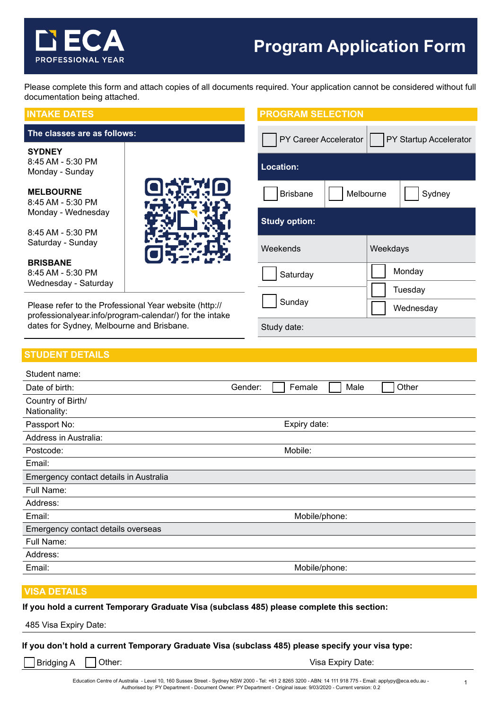# **Program Application Form**

PY Career Accelerator | PY Startup Accelerator

Tuesday

Saturday | Monday

Sunday **Wednesday** 

**PROGRAM SELECTION**

**Location:**

Study date:

Please complete this form and attach copies of all documents required. Your application cannot be considered without full documentation being attached.

## **INTAKE DATES**

## **The classes are as follows:**

**PROFESSIONAL YEAR** 

**SYDNEY** 8:45 AM - 5:30 PM Monday - Sunday

**MELBOURNE** 8:45 AM - 5:30 P Monday - Wedne

 $8:45$  AM - 5:30 F Saturday - Sund

**BRISBANE** 8:45 AM - 5:30 PM Wednesday - Saturday

Please refer to the Professional Year website (http:// professionalyear.info/program-calendar/) for the intake dates for Sydney, Melbourne and Brisbane.

# **STUDENT DETAILS**

| ١M          | <b>Brisbane</b>      | Melbourne | Sydney |
|-------------|----------------------|-----------|--------|
| esday<br>'M | <b>Study option:</b> |           |        |
| ay          | Weekends             | Weekdays  |        |

OSETIO

| Student name:                          |                                    |  |  |
|----------------------------------------|------------------------------------|--|--|
| Date of birth:                         | Other<br>Female<br>Gender:<br>Male |  |  |
| Country of Birth/<br>Nationality:      |                                    |  |  |
| Passport No:                           | Expiry date:                       |  |  |
| Address in Australia:                  |                                    |  |  |
| Postcode:                              | Mobile:                            |  |  |
| Email:                                 |                                    |  |  |
| Emergency contact details in Australia |                                    |  |  |
| Full Name:                             |                                    |  |  |
| Address:                               |                                    |  |  |
| Email:                                 | Mobile/phone:                      |  |  |
| Emergency contact details overseas     |                                    |  |  |
| Full Name:                             |                                    |  |  |
| Address:                               |                                    |  |  |
| Email:                                 | Mobile/phone:                      |  |  |
|                                        |                                    |  |  |

## **VISA DETAILS**

**If you hold a current Temporary Graduate Visa (subclass 485) please complete this section:**

485 Visa Expiry Date:

**If you don't hold a current Temporary Graduate Visa (subclass 485) please specify your visa type:** 

Bridging A | Other: Visa Expiry Date: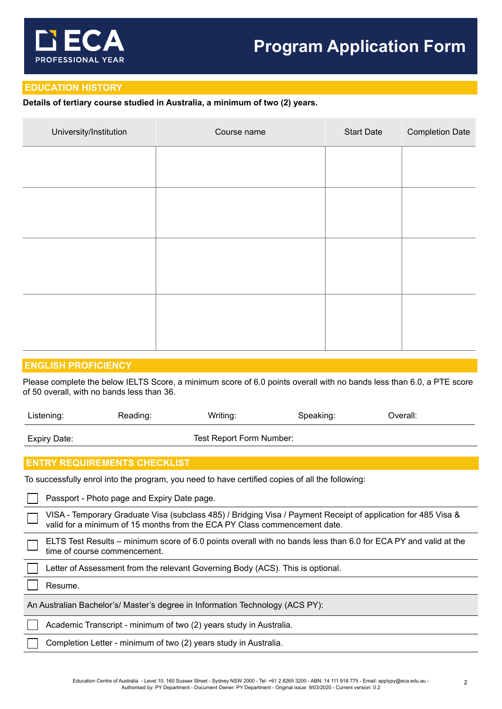

# **EDUCATION HISTORY**

# **Details of tertiary course studied in Australia, a minimum of two (2) years.**

| Course name | <b>Start Date</b> | <b>Completion Date</b> |
|-------------|-------------------|------------------------|
|             |                   |                        |
|             |                   |                        |
|             |                   |                        |
|             |                   |                        |
|             |                   |                        |
|             |                   |                        |
|             |                   |                        |
|             |                   |                        |
|             |                   |                        |

# **ENGLISH PROFICIENCY**

Please complete the below IELTS Score, a minimum score of 6.0 points overall with no bands less than 6.0, a PTE score of 50 overall, with no bands less than 36.

| Listening:                                                                                                                                                                                 | Reading: | Writing:                                                           | Speaking: | Overall: |  |
|--------------------------------------------------------------------------------------------------------------------------------------------------------------------------------------------|----------|--------------------------------------------------------------------|-----------|----------|--|
| Test Report Form Number:<br><b>Expiry Date:</b>                                                                                                                                            |          |                                                                    |           |          |  |
|                                                                                                                                                                                            |          |                                                                    |           |          |  |
| <b>ENTRY REQUIREMENTS CHECKLIST</b>                                                                                                                                                        |          |                                                                    |           |          |  |
| To successfully enrol into the program, you need to have certified copies of all the following:                                                                                            |          |                                                                    |           |          |  |
| Passport - Photo page and Expiry Date page.                                                                                                                                                |          |                                                                    |           |          |  |
| VISA - Temporary Graduate Visa (subclass 485) / Bridging Visa / Payment Receipt of application for 485 Visa &<br>valid for a minimum of 15 months from the ECA PY Class commencement date. |          |                                                                    |           |          |  |
| ELTS Test Results – minimum score of 6.0 points overall with no bands less than 6.0 for ECA PY and valid at the<br>time of course commencement.                                            |          |                                                                    |           |          |  |
| Letter of Assessment from the relevant Governing Body (ACS). This is optional.                                                                                                             |          |                                                                    |           |          |  |
| Resume.                                                                                                                                                                                    |          |                                                                    |           |          |  |
| An Australian Bachelor's/ Master's degree in Information Technology (ACS PY):                                                                                                              |          |                                                                    |           |          |  |
|                                                                                                                                                                                            |          | Academic Transcript - minimum of two (2) years study in Australia. |           |          |  |
| Completion Letter - minimum of two (2) years study in Australia.                                                                                                                           |          |                                                                    |           |          |  |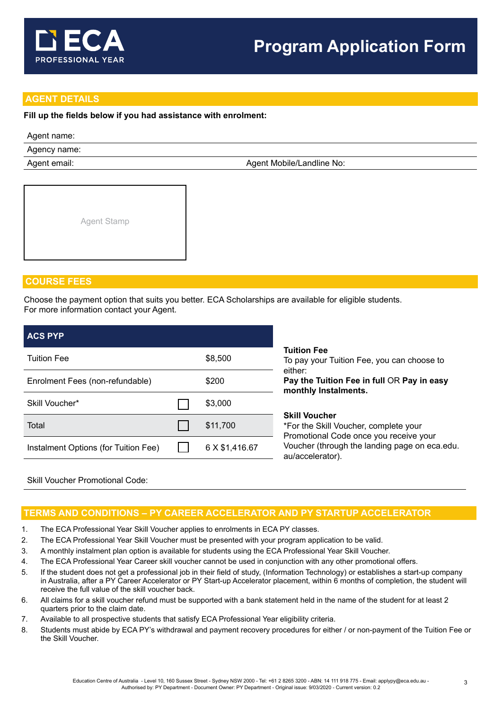

# **AGENT DETAILS**

## **Fill up the fields below if you had assistance with enrolment:**

## Agent name:

Agency name:

Agent email: Agent Mobile/Landline No:



# **COURSE FEES**

Choose the payment option that suits you better. ECA Scholarships are available for eligible students. For more information contact your Agent.

|                                 | \$8,500        |  |
|---------------------------------|----------------|--|
| Enrolment Fees (non-refundable) |                |  |
| Skill Voucher*                  |                |  |
|                                 | \$11,700       |  |
|                                 | 6 X \$1,416.67 |  |
|                                 |                |  |

## Skill Voucher Promotional Code:

# **TERMS AND CONDITIONS – PY CAREER ACCELERATOR AND PY STARTUP ACCELERATOR**

- 1. The ECA Professional Year Skill Voucher applies to enrolments in ECA PY classes.
- 2. The ECA Professional Year Skill Voucher must be presented with your program application to be valid.
- 3. A monthly instalment plan option is available for students using the ECA Professional Year Skill Voucher.
- 4. The ECA Professional Year Career skill voucher cannot be used in conjunction with any other promotional offers.
- 5. If the student does not get a professional job in their field of study, (Information Technology) or establishes a start-up company in Australia, after a PY Career Accelerator or PY Start-up Accelerator placement, within 6 months of completion, the student will receive the full value of the skill voucher back.
- 6. All claims for a skill voucher refund must be supported with a bank statement held in the name of the student for at least 2 quarters prior to the claim date.
- 7. Available to all prospective students that satisfy ECA Professional Year eligibility criteria.
- 8. Students must abide by ECA PY's withdrawal and payment recovery procedures for either / or non-payment of the Tuition Fee or the Skill Voucher.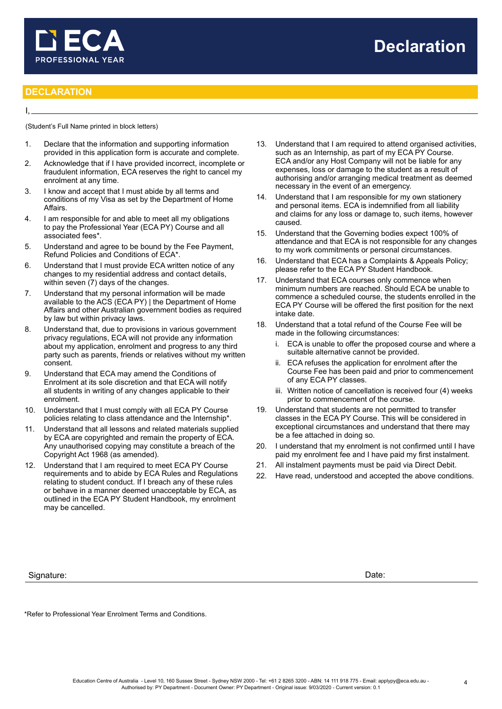

## **DECLARATION**

I,

(Student's Full Name printed in block letters)

- 1. Declare that the information and supporting information provided in this application form is accurate and complete.
- 2. Acknowledge that if I have provided incorrect, incomplete or fraudulent information, ECA reserves the right to cancel my enrolment at any time.
- 3. I know and accept that I must abide by all terms and conditions of my Visa as set by the Department of Home Affairs.
- 4. I am responsible for and able to meet all my obligations to pay the Professional Year (ECA PY) Course and all associated fees\*.
- 5. Understand and agree to be bound by the Fee Payment, Refund Policies and Conditions of ECA\*.
- 6. Understand that I must provide ECA written notice of any changes to my residential address and contact details, within seven (7) days of the changes.
- 7. Understand that my personal information will be made available to the ACS (ECA PY) | the Department of Home Affairs and other Australian government bodies as required by law but within privacy laws.
- 8. Understand that, due to provisions in various government privacy regulations, ECA will not provide any information about my application, enrolment and progress to any third party such as parents, friends or relatives without my written consent.
- 9. Understand that ECA may amend the Conditions of Enrolment at its sole discretion and that ECA will notify all students in writing of any changes applicable to their enrolment.
- 10. Understand that I must comply with all ECA PY Course policies relating to class attendance and the Internship\*.
- 11. Understand that all lessons and related materials supplied by ECA are copyrighted and remain the property of ECA. Any unauthorised copying may constitute a breach of the Copyright Act 1968 (as amended).
- 12. Understand that I am required to meet ECA PY Course requirements and to abide by ECA Rules and Regulations relating to student conduct. If I breach any of these rules or behave in a manner deemed unacceptable by ECA, as outlined in the ECA PY Student Handbook, my enrolment may be cancelled.
- Signature: Date:
- 13. Understand that I am required to attend organised activities, such as an Internship, as part of my ECA PY Course. ECA and/or any Host Company will not be liable for any expenses, loss or damage to the student as a result of authorising and/or arranging medical treatment as deemed necessary in the event of an emergency.
- 14. Understand that I am responsible for my own stationery and personal items. ECA is indemnified from all liability and claims for any loss or damage to, such items, however caused.
- 15. Understand that the Governing bodies expect 100% of attendance and that ECA is not responsible for any changes to my work commitments or personal circumstances.
- 16. Understand that ECA has a Complaints & Appeals Policy; please refer to the ECA PY Student Handbook.
- 17. Understand that ECA courses only commence when minimum numbers are reached. Should ECA be unable to commence a scheduled course, the students enrolled in the ECA PY Course will be offered the first position for the next intake date.
- 18. Understand that a total refund of the Course Fee will be made in the following circumstances:
	- ECA is unable to offer the proposed course and where a suitable alternative cannot be provided.
	- ii. ECA refuses the application for enrolment after the Course Fee has been paid and prior to commencement of any ECA PY classes.
	- iii. Written notice of cancellation is received four (4) weeks prior to commencement of the course.
- 19. Understand that students are not permitted to transfer classes in the ECA PY Course. This will be considered in exceptional circumstances and understand that there may be a fee attached in doing so.
- 20. I understand that my enrolment is not confirmed until I have paid my enrolment fee and I have paid my first instalment.
- 21. All instalment payments must be paid via Direct Debit.
- 22. Have read, understood and accepted the above conditions.

\*Refer to Professional Year Enrolment Terms and Conditions.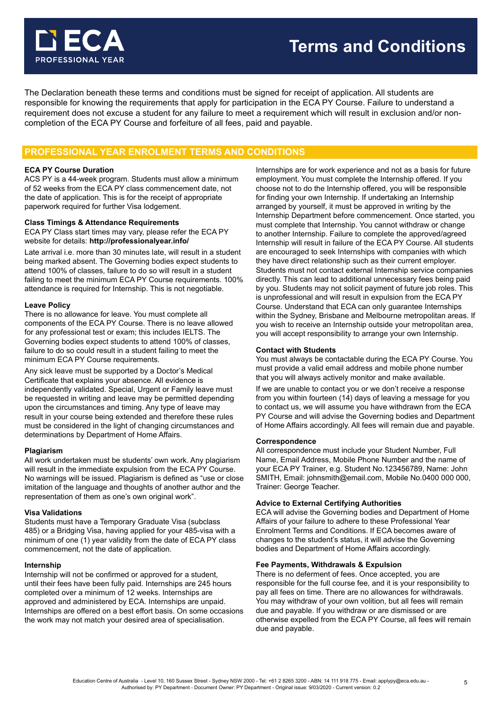

The Declaration beneath these terms and conditions must be signed for receipt of application. All students are responsible for knowing the requirements that apply for participation in the ECA PY Course. Failure to understand a requirement does not excuse a student for any failure to meet a requirement which will result in exclusion and/or noncompletion of the ECA PY Course and forfeiture of all fees, paid and payable.

# **PROFESSIONAL YEAR ENROLMENT TERMS AND CONDITIONS**

#### **ECA PY Course Duration**

ACS PY is a 44-week program. Students must allow a minimum of 52 weeks from the ECA PY class commencement date, not the date of application. This is for the receipt of appropriate paperwork required for further Visa lodgement.

#### **Class Timings & Attendance Requirements**

ECA PY Class start times may vary, please refer the ECA PY website for details: **http://professionalyear.info/**

Late arrival i.e. more than 30 minutes late, will result in a student being marked absent. The Governing bodies expect students to attend 100% of classes, failure to do so will result in a student failing to meet the minimum ECA PY Course requirements. 100% attendance is required for Internship. This is not negotiable.

#### **Leave Policy**

There is no allowance for leave. You must complete all components of the ECA PY Course. There is no leave allowed for any professional test or exam; this includes IELTS. The Governing bodies expect students to attend 100% of classes, failure to do so could result in a student failing to meet the minimum ECA PY Course requirements.

Any sick leave must be supported by a Doctor's Medical Certificate that explains your absence. All evidence is independently validated. Special, Urgent or Family leave must be requested in writing and leave may be permitted depending upon the circumstances and timing. Any type of leave may result in your course being extended and therefore these rules must be considered in the light of changing circumstances and determinations by Department of Home Affairs.

#### **Plagiarism**

All work undertaken must be students' own work. Any plagiarism will result in the immediate expulsion from the ECA PY Course. No warnings will be issued. Plagiarism is defined as "use or close imitation of the language and thoughts of another author and the representation of them as one's own original work".

#### **Visa Validations**

Students must have a Temporary Graduate Visa (subclass 485) or a Bridging Visa, having applied for your 485-visa with a minimum of one (1) year validity from the date of ECA PY class commencement, not the date of application.

#### **Internship**

Internship will not be confirmed or approved for a student, until their fees have been fully paid. Internships are 245 hours completed over a minimum of 12 weeks. Internships are approved and administered by ECA. Internships are unpaid. Internships are offered on a best effort basis. On some occasions the work may not match your desired area of specialisation.

Internships are for work experience and not as a basis for future employment. You must complete the Internship offered. If you choose not to do the Internship offered, you will be responsible for finding your own Internship. If undertaking an Internship arranged by yourself, it must be approved in writing by the Internship Department before commencement. Once started, you must complete that Internship. You cannot withdraw or change to another Internship. Failure to complete the approved/agreed Internship will result in failure of the ECA PY Course. All students are encouraged to seek Internships with companies with which they have direct relationship such as their current employer. Students must not contact external Internship service companies directly. This can lead to additional unnecessary fees being paid by you. Students may not solicit payment of future job roles. This is unprofessional and will result in expulsion from the ECA PY Course. Understand that ECA can only guarantee Internships within the Sydney, Brisbane and Melbourne metropolitan areas. If you wish to receive an Internship outside your metropolitan area, you will accept responsibility to arrange your own Internship.

#### **Contact with Students**

You must always be contactable during the ECA PY Course. You must provide a valid email address and mobile phone number that you will always actively monitor and make available.

If we are unable to contact you or we don't receive a response from you within fourteen (14) days of leaving a message for you to contact us, we will assume you have withdrawn from the ECA PY Course and will advise the Governing bodies and Department of Home Affairs accordingly. All fees will remain due and payable.

#### **Correspondence**

All correspondence must include your Student Number, Full Name, Email Address, Mobile Phone Number and the name of your ECA PY Trainer, e.g. Student No.123456789, Name: John SMITH, Email: johnsmith@email.com, Mobile No.0400 000 000, Trainer: George Teacher.

#### **Advice to External Certifying Authorities**

ECA will advise the Governing bodies and Department of Home Affairs of your failure to adhere to these Professional Year Enrolment Terms and Conditions. If ECA becomes aware of changes to the student's status, it will advise the Governing bodies and Department of Home Affairs accordingly.

#### **Fee Payments, Withdrawals & Expulsion**

There is no deferment of fees. Once accepted, you are responsible for the full course fee, and it is your responsibility to pay all fees on time. There are no allowances for withdrawals. You may withdraw of your own volition, but all fees will remain due and payable. If you withdraw or are dismissed or are otherwise expelled from the ECA PY Course, all fees will remain due and payable.